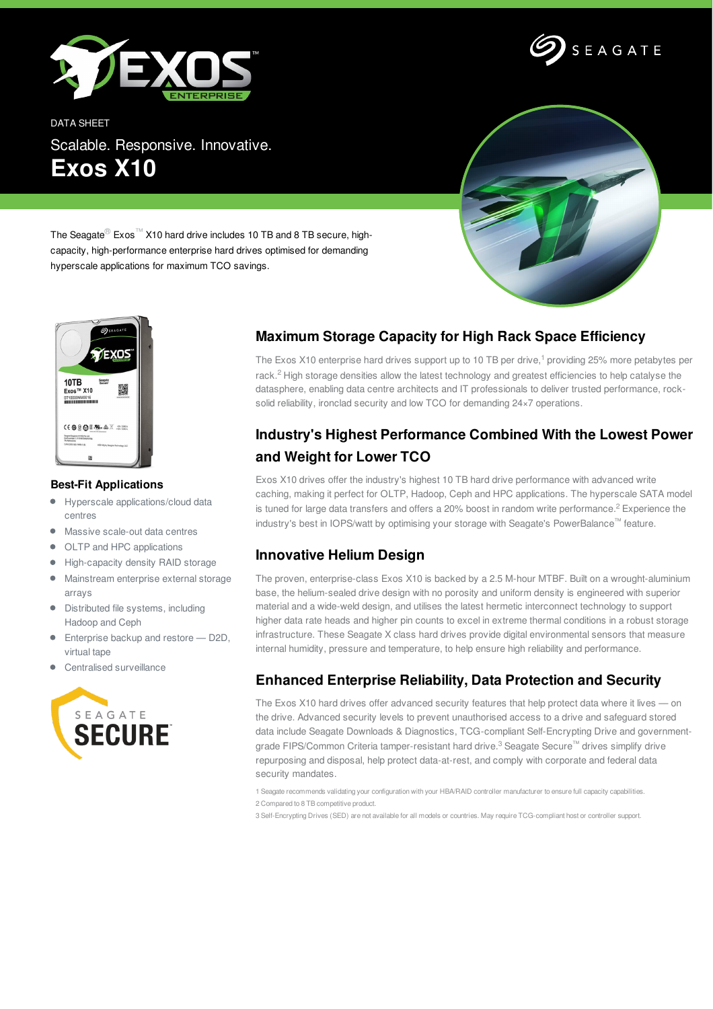



DATA SHEET Scalable. Responsive. Innovative. **Exos X10**



The Seagate® Exos™ X10 hard drive includes 10 TB and 8 TB secure, highcapacity, high-performance enterprise hard drives optimised for demanding hyperscale applications for maximum TCO savings.



#### **Best-Fit Applications**

- $\bullet$ Hyperscale applications/cloud data centres
- Massive scale-out data centres
- OLTP and HPC applications  $\bullet$
- High-capacity density RAID storage  $\bullet$
- Mainstream enterprise external storage arrays
- $\bullet$  Distributed file systems, including Hadoop and Ceph
- **Enterprise backup and restore D2D,** virtual tape
- Centralised surveillance



# **Maximum Storage Capacity for High Rack Space Efficiency**

The Exos X10 enterprise hard drives support up to 10 TB per drive, <sup>1</sup> providing 25% more petabytes per rack.<sup>2</sup> High storage densities allow the latest technology and greatest efficiencies to help catalyse the datasphere, enabling data centre architects and IT professionals to deliver trusted performance, rocksolid reliability, ironclad security and low TCO for demanding 24×7 operations.

# **Industry's Highest Performance Combined With the Lowest Power and Weight for Lower TCO**

Exos X10 drives offer the industry's highest 10 TB hard drive performance with advanced write caching, making it perfect for OLTP, Hadoop, Ceph and HPC applications. The hyperscale SATA model is tuned for large data transfers and offers a 20% boost in random write performance.<sup>2</sup> Experience the industry's best in IOPS/watt by optimising your storage with Seagate's PowerBalance™ feature.

### **Innovative Helium Design**

The proven, enterprise-class Exos X10 is backed by a 2.5 M-hour MTBF. Built on a wrought-aluminium base, the helium-sealed drive design with no porosity and uniform density is engineered with superior material and a wide-weld design, and utilises the latest hermetic interconnect technology to support higher data rate heads and higher pin counts to excel in extreme thermal conditions in a robust storage infrastructure. These Seagate X class hard drives provide digital environmental sensors that measure internal humidity, pressure and temperature, to help ensure high reliability and performance.

# **Enhanced Enterprise Reliability, Data Protection and Security**

The Exos X10 hard drives offer advanced security features that help protect data where it lives — on the drive. Advanced security levels to prevent unauthorised access to a drive and safeguard stored data include Seagate Downloads & Diagnostics, TCG-compliant Self-Encrypting Drive and governmentgrade FIPS/Common Criteria tamper-resistant hard drive.<sup>3</sup> Seagate Secure™ drives simplify drive repurposing and disposal, help protect data-at-rest, and comply with corporate and federal data security mandates.

1 Seagate recommends validating your configuration with your HBA/RAID controller manufacturer to ensure full capacity capabilities. 2 Compared to 8 TB competitive product.

3 Self-Encrypting Drives (SED) are not available for all models or countries. May require TCG-compliant host or controller support.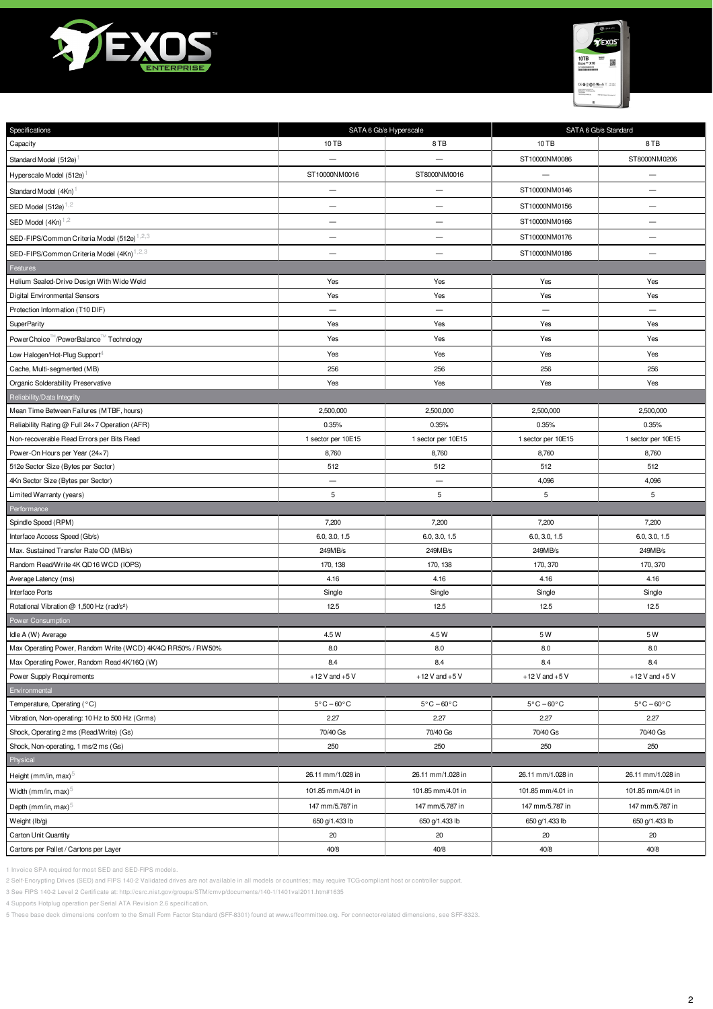



| Specifications                                                           | SATA 6 Gb/s Hyperscale          |                                 | SATA 6 Gb/s Standard          |                               |
|--------------------------------------------------------------------------|---------------------------------|---------------------------------|-------------------------------|-------------------------------|
| Capacity                                                                 | 10 TB                           | 8TB                             | 10 TB                         | 8TB                           |
| Standard Model (512e)                                                    |                                 |                                 | ST10000NM0086                 | ST8000NM0206                  |
| Hyperscale Model (512e)                                                  | ST10000NM0016                   | ST8000NM0016                    | $\overline{\phantom{0}}$      | $\overline{\phantom{0}}$      |
| Standard Model (4Kn)                                                     | $\overline{\phantom{0}}$        | —                               | ST10000NM0146                 | $\overline{\phantom{0}}$      |
| SED Model $(512e)^{1,2}$                                                 | $\qquad \qquad -$               | $\overline{\phantom{0}}$        | ST10000NM0156                 | $\overline{\phantom{0}}$      |
| SED Model $(4Kn)^{1,2}$                                                  | $\qquad \qquad -$               | $\qquad \qquad -$               | ST10000NM0166                 | $\qquad \qquad -$             |
| SED-FIPS/Common Criteria Model (512e) <sup>1,2,3</sup>                   | $\overline{\phantom{0}}$        | —                               | ST10000NM0176                 | $\overline{\phantom{0}}$      |
| SED-FIPS/Common Criteria Model (4Kn) <sup>1,2,3</sup>                    |                                 | $\overline{\phantom{0}}$        | ST10000NM0186                 | $\overline{\phantom{0}}$      |
| Features                                                                 |                                 |                                 |                               |                               |
| Helium Sealed-Drive Design With Wide Weld                                | Yes                             | Yes                             | Yes                           | Yes                           |
| Digital Environmental Sensors                                            | Yes                             | Yes                             | Yes                           | Yes                           |
| Protection Information (T10 DIF)                                         | $\overline{\phantom{0}}$        |                                 | $\overline{\phantom{0}}$      | $\overline{\phantom{0}}$      |
| <b>SuperParity</b>                                                       | Yes                             | Yes                             | Yes                           | Yes                           |
| PowerChoice M/PowerBalance M Technology                                  | Yes                             | Yes                             | Yes                           | Yes                           |
| Low Halogen/Hot-Plug Support <sup>4</sup>                                | Yes                             | Yes                             | Yes                           | Yes                           |
| Cache, Multi-segmented (MB)                                              | 256                             | 256                             | 256                           | 256                           |
| Organic Solderability Preservative                                       | Yes                             | Yes                             | Yes                           | Yes                           |
| Reliability/Data Integrity                                               |                                 |                                 |                               |                               |
| Mean Time Between Failures (MTBF, hours)                                 | 2,500,000                       | 2,500,000                       | 2,500,000                     | 2,500,000                     |
| Reliability Rating @ Full 24×7 Operation (AFR)                           | 0.35%                           | 0.35%                           | 0.35%                         | 0.35%                         |
| Non-recoverable Read Errors per Bits Read                                | 1 sector per 10E15              | 1 sector per 10E15              | 1 sector per 10E15            | 1 sector per 10E15            |
| Power-On Hours per Year (24×7)                                           | 8,760                           | 8,760                           | 8,760                         | 8,760                         |
| 512e Sector Size (Bytes per Sector)                                      | 512                             | 512                             | 512                           | 512                           |
| 4Kn Sector Size (Bytes per Sector)                                       |                                 |                                 | 4,096                         | 4,096                         |
| Limited Warranty (years)                                                 | 5                               | 5                               | 5                             | 5                             |
| Performance                                                              |                                 |                                 |                               |                               |
| Spindle Speed (RPM)                                                      | 7,200                           | 7,200                           | 7,200                         | 7,200                         |
| Interface Access Speed (Gb/s)                                            | 6.0, 3.0, 1.5                   | 6.0, 3.0, 1.5                   | 6.0, 3.0, 1.5                 | 6.0, 3.0, 1.5                 |
| Max. Sustained Transfer Rate OD (MB/s)                                   | 249MB/s                         | 249MB/s                         | 249MB/s                       | 249MB/s                       |
| Random Read/Write 4K QD16 WCD (IOPS)                                     | 170, 138                        | 170, 138                        | 170, 370                      | 170, 370                      |
| Average Latency (ms)                                                     | 4.16                            | 4.16                            | 4.16                          | 4.16                          |
| Interface Ports<br>Rotational Vibration @ 1,500 Hz (rad/s <sup>2</sup> ) | Single<br>12.5                  | Single<br>12.5                  | Single<br>12.5                | Single<br>12.5                |
| Power Consumption                                                        |                                 |                                 |                               |                               |
| Idle A (W) Average                                                       | 4.5 W                           | 4.5 W                           | 5W                            | 5 W                           |
| Max Operating Power, Random Write (WCD) 4K/4Q RR50% / RW50%              | 8.0                             | 8.0                             | 8.0                           | 8.0                           |
| Max Operating Power, Random Read 4K/16Q (W)                              | 8.4                             | 8.4                             | 8.4                           | 8.4                           |
| Power Supply Requirements                                                | $+12$ V and $+5$ V              | $+12$ V and $+5$ V              | $+12$ V and $+5$ V            | $+12$ V and $+5$ V            |
| Environmental                                                            |                                 |                                 |                               |                               |
| Temperature, Operating (°C)                                              | $5^{\circ}$ C - 60 $^{\circ}$ C | $5^{\circ}$ C - 60 $^{\circ}$ C | $5^{\circ}$ C $-60^{\circ}$ C | $5^{\circ}$ C $-60^{\circ}$ C |
| Vibration, Non-operating: 10 Hz to 500 Hz (Grms)                         | 2.27                            | 2.27                            | 2.27                          | 2.27                          |
| Shock, Operating 2 ms (Read/Write) (Gs)                                  | 70/40 Gs                        | 70/40 Gs                        | 70/40 Gs                      | 70/40 Gs                      |
| Shock, Non-operating, 1 ms/2 ms (Gs)                                     | 250                             | 250                             | 250                           | 250                           |
| Physical                                                                 |                                 |                                 |                               |                               |
| Height (mm/in, max) $5$                                                  | 26.11 mm/1.028 in               | 26.11 mm/1.028 in               | 26.11 mm/1.028 in             | 26.11 mm/1.028 in             |
| Width (mm/in, max) $\circ$                                               | 101.85 mm/4.01 in               | 101.85 mm/4.01 in               | 101.85 mm/4.01 in             | 101.85 mm/4.01 in             |
| Depth (mm/in, max) <sup>5</sup>                                          | 147 mm/5.787 in                 | 147 mm/5.787 in                 | 147 mm/5.787 in               | 147 mm/5.787 in               |
| Weight (lb/g)                                                            | 650 g/1.433 lb                  | 650 g/1.433 lb                  | 650 g/1.433 lb                | 650 g/1.433 lb                |
| Carton Unit Quantity                                                     | 20                              | 20                              | 20                            | 20                            |
| Cartons per Pallet / Cartons per Layer                                   | 40/8                            | 40/8                            | 40/8                          | 40/8                          |

1 Invoice SPA required for most SED and SED-FIPS models.

2 Self-Encrypting Drives (SED) and FIPS 140-2 Validated drives are not available in all models or countries; may require TCG-compliant host or controller support.

3 See FIPS 140-2 Level 2 Certificate at: http://csrc.nist.gov/groups/STM/cmvp/documents/140-1/1401val2011.htm#1635

4 Supports Hotplug operation per Serial ATA Revision 2.6 specification.

5 These base deck dimensions conform to the Small Form Factor Standard (SFF-8301) found at www.sffcommittee.org. For connector-related dimensions, see SFF-8323.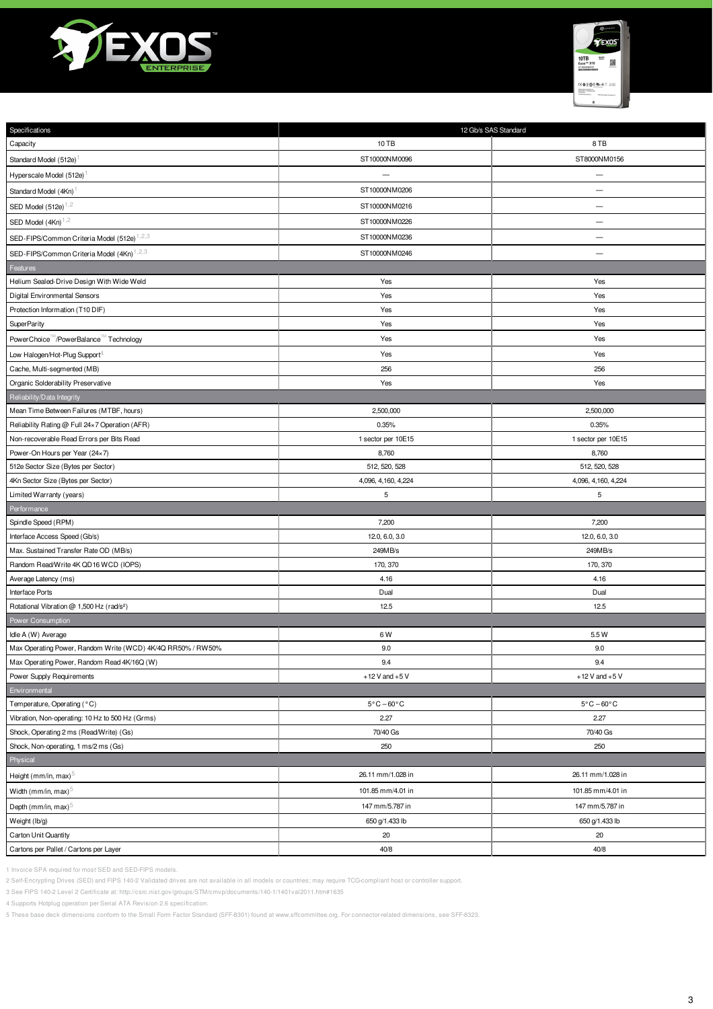



| Specifications                                              | 12 Gb/s SAS Standard                      |                                 |  |  |  |
|-------------------------------------------------------------|-------------------------------------------|---------------------------------|--|--|--|
| Capacity                                                    | 10 TB                                     | 8TB                             |  |  |  |
| Standard Model (512e)                                       | ST8000NM0156<br>ST10000NM0096             |                                 |  |  |  |
| Hyperscale Model (512e)                                     |                                           |                                 |  |  |  |
| Standard Model (4Kn)                                        | ST10000NM0206                             |                                 |  |  |  |
| SED Model $(512e)^{1,2}$                                    | ST10000NM0216<br>$\overline{\phantom{m}}$ |                                 |  |  |  |
| SED Model $(4Kn)^{1,2}$                                     | ST10000NM0226<br>$\overline{\phantom{0}}$ |                                 |  |  |  |
| SED-FIPS/Common Criteria Model (512e) <sup>1,2,3</sup>      | ST10000NM0236                             | $\overline{\phantom{0}}$        |  |  |  |
| SED-FIPS/Common Criteria Model (4Kn) <sup>1,2,3</sup>       | ST10000NM0246                             |                                 |  |  |  |
| Features                                                    |                                           |                                 |  |  |  |
| Helium Sealed-Drive Design With Wide Weld                   | Yes                                       | Yes                             |  |  |  |
| Digital Environmental Sensors                               | Yes                                       | Yes                             |  |  |  |
| Protection Information (T10 DIF)                            | Yes                                       | Yes                             |  |  |  |
| <b>SuperParity</b>                                          | Yes                                       | Yes                             |  |  |  |
| PowerChoice <sup>™</sup> /PowerBalance™ Technology          | Yes                                       | Yes                             |  |  |  |
| Low Halogen/Hot-Plug Support <sup>4</sup>                   | Yes                                       | Yes                             |  |  |  |
| Cache, Multi-segmented (MB)                                 | 256                                       | 256                             |  |  |  |
| Organic Solderability Preservative                          | Yes                                       | Yes                             |  |  |  |
| Reliability/Data Integrity                                  |                                           |                                 |  |  |  |
| Mean Time Between Failures (MTBF, hours)                    | 2,500,000                                 | 2,500,000                       |  |  |  |
| Reliability Rating @ Full 24×7 Operation (AFR)              | 0.35%                                     | 0.35%                           |  |  |  |
| Non-recoverable Read Errors per Bits Read                   | 1 sector per 10E15                        | 1 sector per 10E15              |  |  |  |
| Power-On Hours per Year (24×7)                              | 8,760                                     | 8,760                           |  |  |  |
| 512e Sector Size (Bytes per Sector)                         | 512, 520, 528                             | 512, 520, 528                   |  |  |  |
| 4Kn Sector Size (Bytes per Sector)                          | 4,096, 4,160, 4,224                       | 4,096, 4,160, 4,224             |  |  |  |
| Limited Warranty (years)                                    | 5                                         | 5                               |  |  |  |
| Performance                                                 |                                           |                                 |  |  |  |
| Spindle Speed (RPM)                                         | 7,200                                     | 7,200                           |  |  |  |
| Interface Access Speed (Gb/s)                               | 12.0, 6.0, 3.0                            | 12.0, 6.0, 3.0                  |  |  |  |
| Max. Sustained Transfer Rate OD (MB/s)                      |                                           |                                 |  |  |  |
|                                                             | 249MB/s                                   | 249MB/s                         |  |  |  |
| Random Read/Write 4K QD16 WCD (IOPS)                        | 170, 370                                  | 170, 370                        |  |  |  |
| Average Latency (ms)                                        | 4.16                                      | 4.16                            |  |  |  |
| <b>Interface Ports</b>                                      | Dual                                      | Dual                            |  |  |  |
| Rotational Vibration @ 1,500 Hz (rad/s <sup>2</sup> )       | 12.5                                      | 12.5                            |  |  |  |
| Power Consumption                                           |                                           |                                 |  |  |  |
| Idle A (W) Average                                          | 6 W                                       | 5.5 W                           |  |  |  |
| Max Operating Power, Random Write (WCD) 4K/4Q RR50% / RW50% | 9.0                                       | 9.0                             |  |  |  |
| Max Operating Power, Random Read 4K/16Q (W)                 | 9.4                                       | 9.4                             |  |  |  |
| Power Supply Requirements                                   | $+12$ V and $+5$ V                        | $+12$ V and $+5$ V              |  |  |  |
| Environmental                                               |                                           |                                 |  |  |  |
| Temperature, Operating (°C)                                 | $5^{\circ}$ C – 60 $^{\circ}$ C           | $5^{\circ}$ C - 60 $^{\circ}$ C |  |  |  |
| Vibration, Non-operating: 10 Hz to 500 Hz (Grms)            | 2.27                                      | 2.27                            |  |  |  |
| Shock, Operating 2 ms (Read/Write) (Gs)                     | 70/40 Gs                                  | 70/40 Gs                        |  |  |  |
| Shock, Non-operating, 1 ms/2 ms (Gs)                        | 250                                       | 250                             |  |  |  |
| Physical                                                    |                                           |                                 |  |  |  |
| Height (mm/in, max) $5$                                     | 26.11 mm/1.028 in                         | 26.11 mm/1.028 in               |  |  |  |
| Width (mm/in, max) <sup>5</sup>                             | 101.85 mm/4.01 in                         | 101.85 mm/4.01 in               |  |  |  |
| Depth (mm/in, max) <sup>5</sup>                             | 147 mm/5.787 in                           | 147 mm/5.787 in                 |  |  |  |
| Weight (lb/g)                                               | 650 g/1.433 lb                            | 650 g/1.433 lb                  |  |  |  |
| Carton Unit Quantity                                        | 20                                        | 20                              |  |  |  |

1 Invoice SPA required for most SED and SED-FIPS models.

2 Self-Encrypting Drives (SED) and FIPS 140-2 Validated drives are not available in all models or countries; may require TCG-compliant host or controller support.

3 See FIPS 140-2 Level 2 Certificate at: http://csrc.nist.gov/groups/STM/cmvp/documents/140-1/1401val2011.htm#1635

4 Supports Hotplug operation per Serial ATA Revision 2.6 specification.

5 These base deck dimensions conform to the Small Form Factor Standard (SFF-8301) found at www.sffcommittee.org. For connector-related dimensions, see SFF-8323.